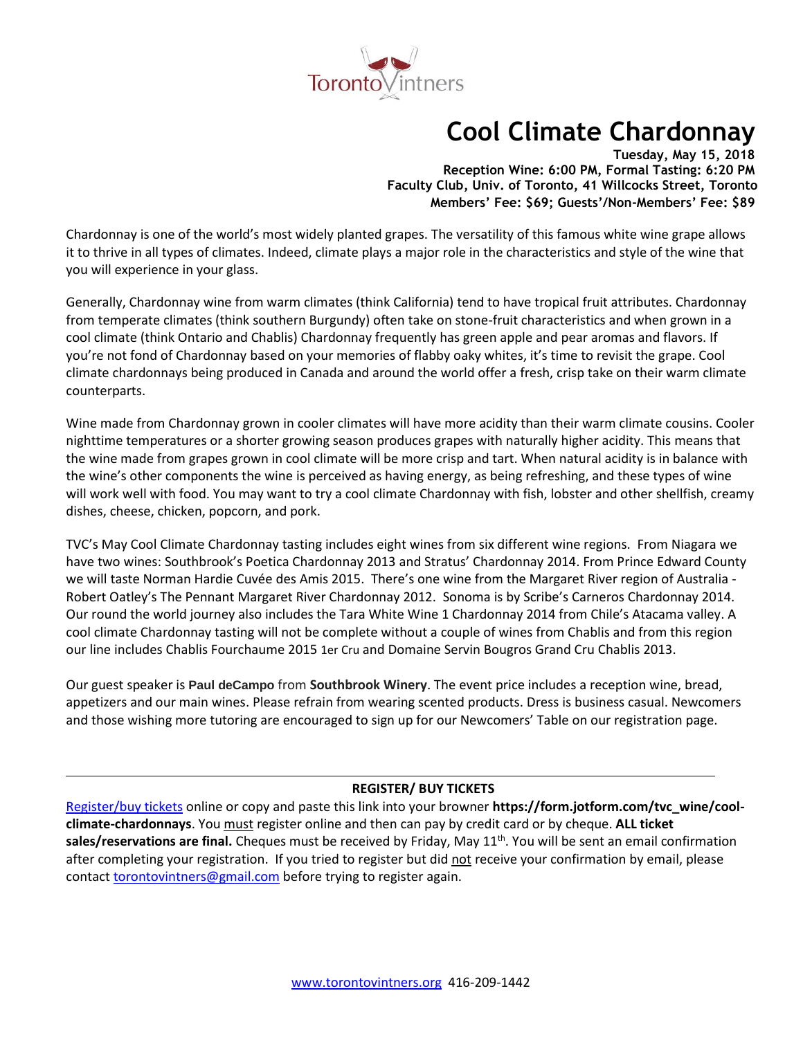

# **Cool Climate Chardonnay**

**Tuesday, May 15, 2018 Reception Wine: 6:00 PM, Formal Tasting: 6:20 PM Faculty Club, Univ. of Toronto, 41 Willcocks Street, Toronto Members' Fee: \$69; Guests'/Non-Members' Fee: \$89**

Chardonnay is one of the world's most widely planted grapes. The versatility of this famous white wine grape allows it to thrive in all types of climates. Indeed, climate plays a major role in the characteristics and style of the wine that you will experience in your glass.

Generally, Chardonnay wine from warm climates (think California) tend to have tropical fruit attributes. Chardonnay from temperate climates (think southern Burgundy) often take on stone-fruit characteristics and when grown in a cool climate (think Ontario and Chablis) Chardonnay frequently has green apple and pear aromas and flavors. If you're not fond of Chardonnay based on your memories of flabby oaky whites, it's time to revisit the grape. Cool climate chardonnays being produced in Canada and around the world offer a fresh, crisp take on their warm climate counterparts.

Wine made from Chardonnay grown in cooler climates will have more acidity than their warm climate cousins. Cooler nighttime temperatures or a shorter growing season produces grapes with naturally higher acidity. This means that the wine made from grapes grown in cool climate will be more crisp and tart. When natural acidity is in balance with the wine's other components the wine is perceived as having energy, as being refreshing, and these types of wine will work well with food. You may want to try a cool climate Chardonnay with fish, lobster and other shellfish, creamy dishes, cheese, chicken, popcorn, and pork.

TVC's May Cool Climate Chardonnay tasting includes eight wines from six different wine regions. From Niagara we have two wines: Southbrook's Poetica Chardonnay 2013 and Stratus' Chardonnay 2014. From Prince Edward County we will taste Norman Hardie Cuvée des Amis 2015. There's one wine from the Margaret River region of Australia - Robert Oatley's The Pennant Margaret River Chardonnay 2012. Sonoma is by Scribe's Carneros Chardonnay 2014. Our round the world journey also includes the Tara White Wine 1 Chardonnay 2014 from Chile's Atacama valley. A cool climate Chardonnay tasting will not be complete without a couple of wines from Chablis and from this region our line includes Chablis Fourchaume 2015 1er Cru and Domaine Servin Bougros Grand Cru Chablis 2013.

Our guest speaker is **Paul deCampo** from **Southbrook Winery**. The event price includes a reception wine, bread, appetizers and our main wines. Please refrain from wearing scented products. Dress is business casual. Newcomers and those wishing more tutoring are encouraged to sign up for our Newcomers' Table on our registration page.

# **REGISTER/ BUY TICKETS**

[Register/buy tickets](https://form.jotform.com/tvc_wine/cool-climate-chardonnays) online or copy and paste this link into your browner **https://form.jotform.com/tvc\_wine/coolclimate-chardonnays**. You must register online and then can pay by credit card or by cheque. **ALL ticket**  sales/reservations are final. Cheques must be received by Friday, May 11<sup>th</sup>. You will be sent an email confirmation after completing your registration. If you tried to register but did not receive your confirmation by email, please contact [torontovintners@gmail.com](mailto:torontovintners@gmail.com) before trying to register again.